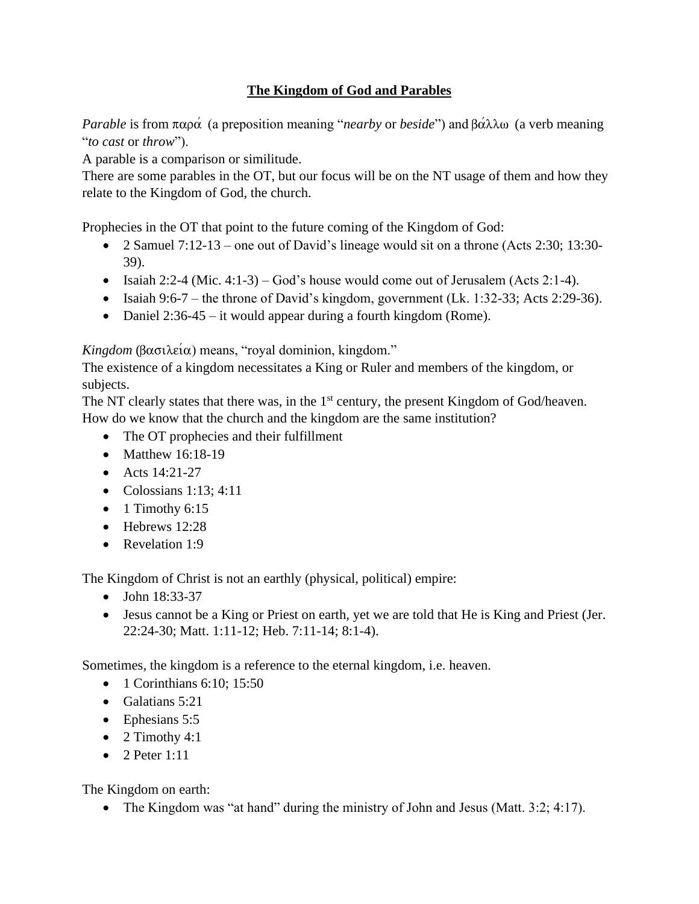## **The Kingdom of God and Parables**

*Parable* is from  $\pi \alpha \rho \alpha$  (a preposition meaning "*nearby* or *beside*") and  $\beta \alpha \lambda \lambda \omega$  (a verb meaning "*to cast* or *throw*").

A parable is a comparison or similitude.

There are some parables in the OT, but our focus will be on the NT usage of them and how they relate to the Kingdom of God, the church.

Prophecies in the OT that point to the future coming of the Kingdom of God:

- 2 Samuel 7:12-13 one out of David's lineage would sit on a throne (Acts 2:30; 13:30-39).
- Isaiah 2:2-4 (Mic. 4:1-3) God's house would come out of Jerusalem (Acts 2:1-4).
- Isaiah 9:6-7 the throne of David's kingdom, government (Lk. 1:32-33; Acts 2:29-36).
- Daniel 2:36-45 it would appear during a fourth kingdom (Rome).

 $Kingdom (\beta \alpha \sigma \lambda \varepsilon \alpha)$  means, "royal dominion, kingdom."

The existence of a kingdom necessitates a King or Ruler and members of the kingdom, or subjects.

The NT clearly states that there was, in the  $1<sup>st</sup>$  century, the present Kingdom of God/heaven. How do we know that the church and the kingdom are the same institution?

- The OT prophecies and their fulfillment
- Matthew 16:18-19
- Acts 14:21-27
- $\bullet$  Colossians 1:13; 4:11
- $\bullet$  1 Timothy 6:15
- Hebrews 12:28
- Revelation 1:9

The Kingdom of Christ is not an earthly (physical, political) empire:

- John 18:33-37
- Jesus cannot be a King or Priest on earth, yet we are told that He is King and Priest (Jer. 22:24-30; Matt. 1:11-12; Heb. 7:11-14; 8:1-4).

Sometimes, the kingdom is a reference to the eternal kingdom, i.e. heaven.

- 1 Corinthians 6:10; 15:50
- Galatians 5:21
- Ephesians 5:5
- 2 Timothy  $4:1$
- 2 Peter  $1:11$

The Kingdom on earth:

• The Kingdom was "at hand" during the ministry of John and Jesus (Matt. 3:2; 4:17).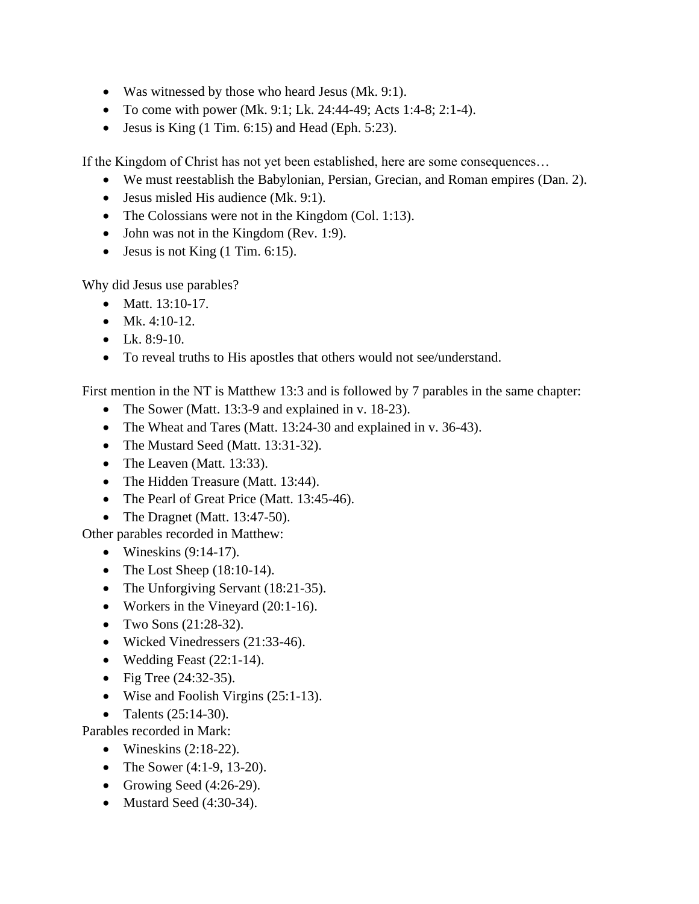- Was witnessed by those who heard Jesus (Mk. 9:1).
- To come with power (Mk. 9:1; Lk. 24:44-49; Acts 1:4-8; 2:1-4).
- Jesus is King  $(1 \text{ Tim. } 6:15)$  and Head (Eph. 5:23).

If the Kingdom of Christ has not yet been established, here are some consequences…

- We must reestablish the Babylonian, Persian, Grecian, and Roman empires (Dan. 2).
- Jesus misled His audience (Mk. 9:1).
- The Colossians were not in the Kingdom (Col. 1:13).
- John was not in the Kingdom (Rev. 1:9).
- Jesus is not King  $(1 \text{ Tim. } 6:15)$ .

Why did Jesus use parables?

- Matt. 13:10-17.
- Mk.  $4:10-12$ .
- Lk. 8:9-10.
- To reveal truths to His apostles that others would not see/understand.

First mention in the NT is Matthew 13:3 and is followed by 7 parables in the same chapter:

- The Sower (Matt. 13:3-9 and explained in v. 18-23).
- The Wheat and Tares (Matt. 13:24-30 and explained in v. 36-43).
- The Mustard Seed (Matt. 13:31-32).
- The Leaven (Matt. 13:33).
- The Hidden Treasure (Matt. 13:44).
- The Pearl of Great Price (Matt. 13:45-46).
- The Dragnet (Matt. 13:47-50).

Other parables recorded in Matthew:

- Wineskins  $(9:14-17)$ .
- The Lost Sheep  $(18:10-14)$ .
- The Unforgiving Servant (18:21-35).
- Workers in the Vineyard (20:1-16).
- Two Sons (21:28-32).
- Wicked Vinedressers (21:33-46).
- Wedding Feast  $(22:1-14)$ .
- Fig Tree  $(24:32-35)$ .
- Wise and Foolish Virgins (25:1-13).
- Talents  $(25:14-30)$ .
- Parables recorded in Mark:
	- Wineskins  $(2:18-22)$ .
	- The Sower (4:1-9, 13-20).
	- Growing Seed  $(4:26-29)$ .
	- Mustard Seed (4:30-34).